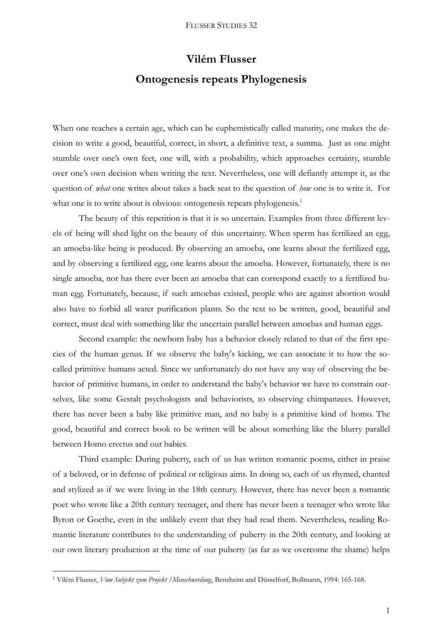## **Vilém Flusser Ontogenesis repeats Phylogenesis**

When one reaches a certain age, which can be euphemistically called maturity, one makes the decision to write a good, beautiful, correct, in short, a definitive text, a summa. Just as one might stumble over one's own feet, one will, with a probability, which approaches certainty, stumble over one's own decision when writing the text. Nevertheless, one will defiantly attempt it, as the question of *what* one writes about takes a back seat to the question of *how* one is to write it. For what one is to write about is obvious: ontogenesis repeats phylogenesis.<sup>1</sup>

The beauty of this repetition is that it is so uncertain. Examples from three different levels of being will shed light on the beauty of this uncertainty. When sperm has fertilized an egg, an amoeba-like being is produced. By observing an amoeba, one learns about the fertilized egg, and by observing a fertilized egg, one learns about the amoeba. However, fortunately, there is no single amoeba, nor has there ever been an amoeba that can correspond exactly to a fertilized human egg. Fortunately, because, if such amoebas existed, people who are against abortion would also have to forbid all water purification plants. So the text to be written, good, beautiful and correct, must deal with something like the uncertain parallel between amoebas and human eggs.

Second example: the newborn baby has a behavior closely related to that of the first species of the human genus. If we observe the baby's kicking, we can associate it to how the socalled primitive humans acted. Since we unfortunately do not have any way of observing the behavior of primitive humans, in order to understand the baby's behavior we have to constrain ourselves, like some Gestalt psychologists and behaviorists, to observing chimpanzees. However, there has never been a baby like primitive man, and no baby is a primitive kind of homo. The good, beautiful and correct book to be written will be about something like the blurry parallel between Homo erectus and our babies.

Third example: During puberty, each of us has written romantic poems, either in praise of a beloved, or in defense of political or religious aims. In doing so, each of us rhymed, chanted and stylized as if we were living in the 18th century. However, there has never been a romantic poet who wrote like a 20th century teenager, and there has never been a teenager who wrote like Byron or Goethe, even in the unlikely event that they had read them. Nevertheless, reading Romantic literature contributes to the understanding of puberty in the 20th century, and looking at our own literary production at the time of our puberty (as far as we overcome the shame) helps

1

<sup>1</sup> Vilém Flusser, *Vom Subjekt zum Projekt /Menschwerdung*, Bensheim and Düsselforf, Bollmann, 1994: 165-168.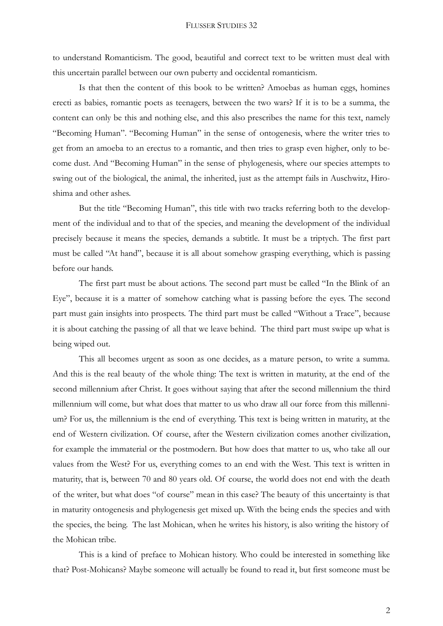to understand Romanticism. The good, beautiful and correct text to be written must deal with this uncertain parallel between our own puberty and occidental romanticism.

Is that then the content of this book to be written? Amoebas as human eggs, homines erecti as babies, romantic poets as teenagers, between the two wars? If it is to be a summa, the content can only be this and nothing else, and this also prescribes the name for this text, namely "Becoming Human". "Becoming Human" in the sense of ontogenesis, where the writer tries to get from an amoeba to an erectus to a romantic, and then tries to grasp even higher, only to become dust. And "Becoming Human" in the sense of phylogenesis, where our species attempts to swing out of the biological, the animal, the inherited, just as the attempt fails in Auschwitz, Hiroshima and other ashes.

But the title "Becoming Human", this title with two tracks referring both to the development of the individual and to that of the species, and meaning the development of the individual precisely because it means the species, demands a subtitle. It must be a triptych. The first part must be called "At hand", because it is all about somehow grasping everything, which is passing before our hands.

The first part must be about actions. The second part must be called "In the Blink of an Eye", because it is a matter of somehow catching what is passing before the eyes. The second part must gain insights into prospects. The third part must be called "Without a Trace", because it is about catching the passing of all that we leave behind. The third part must swipe up what is being wiped out.

This all becomes urgent as soon as one decides, as a mature person, to write a summa. And this is the real beauty of the whole thing: The text is written in maturity, at the end of the second millennium after Christ. It goes without saying that after the second millennium the third millennium will come, but what does that matter to us who draw all our force from this millennium? For us, the millennium is the end of everything. This text is being written in maturity, at the end of Western civilization. Of course, after the Western civilization comes another civilization, for example the immaterial or the postmodern. But how does that matter to us, who take all our values from the West? For us, everything comes to an end with the West. This text is written in maturity, that is, between 70 and 80 years old. Of course, the world does not end with the death of the writer, but what does "of course" mean in this case? The beauty of this uncertainty is that in maturity ontogenesis and phylogenesis get mixed up. With the being ends the species and with the species, the being. The last Mohican, when he writes his history, is also writing the history of the Mohican tribe.

This is a kind of preface to Mohican history. Who could be interested in something like that? Post-Mohicans? Maybe someone will actually be found to read it, but first someone must be